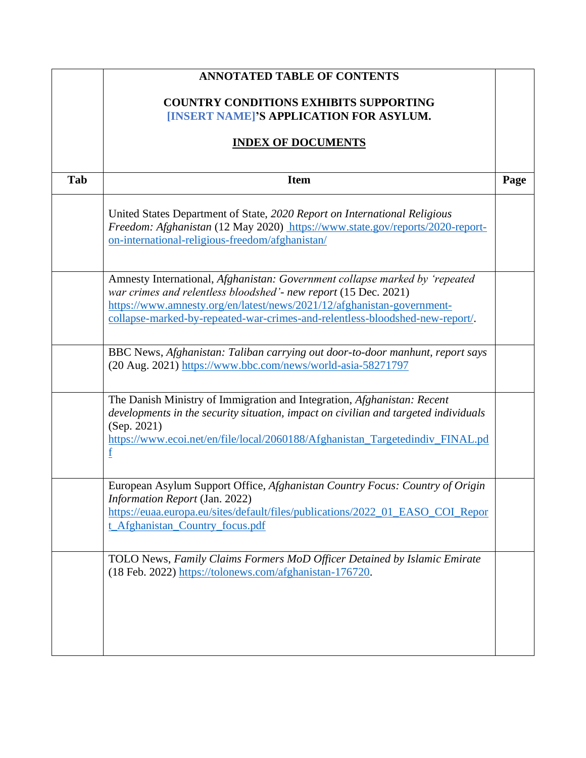|     | <b>ANNOTATED TABLE OF CONTENTS</b>                                                                                                                                                                                                                                                                        |      |
|-----|-----------------------------------------------------------------------------------------------------------------------------------------------------------------------------------------------------------------------------------------------------------------------------------------------------------|------|
|     | <b>COUNTRY CONDITIONS EXHIBITS SUPPORTING</b><br>[INSERT NAME]'S APPLICATION FOR ASYLUM.                                                                                                                                                                                                                  |      |
|     | <b>INDEX OF DOCUMENTS</b>                                                                                                                                                                                                                                                                                 |      |
| Tab | <b>Item</b>                                                                                                                                                                                                                                                                                               | Page |
|     | United States Department of State, 2020 Report on International Religious<br>Freedom: Afghanistan (12 May 2020) https://www.state.gov/reports/2020-report-<br>on-international-religious-freedom/afghanistan/                                                                                             |      |
|     | Amnesty International, Afghanistan: Government collapse marked by 'repeated<br>war crimes and relentless bloodshed' - new report (15 Dec. 2021)<br>https://www.amnesty.org/en/latest/news/2021/12/afghanistan-government-<br>collapse-marked-by-repeated-war-crimes-and-relentless-bloodshed-new-report/. |      |
|     | BBC News, Afghanistan: Taliban carrying out door-to-door manhunt, report says<br>(20 Aug. 2021) https://www.bbc.com/news/world-asia-58271797                                                                                                                                                              |      |
|     | The Danish Ministry of Immigration and Integration, Afghanistan: Recent<br>developments in the security situation, impact on civilian and targeted individuals<br>(Sep. 2021)<br>https://www.ecoi.net/en/file/local/2060188/Afghanistan_Targetedindiv_FINAL.pd<br>f                                       |      |
|     | European Asylum Support Office, Afghanistan Country Focus: Country of Origin<br><i>Information Report</i> (Jan. 2022)<br>https://euaa.europa.eu/sites/default/files/publications/2022_01_EASO_COI_Repor<br>t_Afghanistan_Country_focus.pdf                                                                |      |
|     | TOLO News, Family Claims Formers MoD Officer Detained by Islamic Emirate<br>(18 Feb. 2022) https://tolonews.com/afghanistan-176720.                                                                                                                                                                       |      |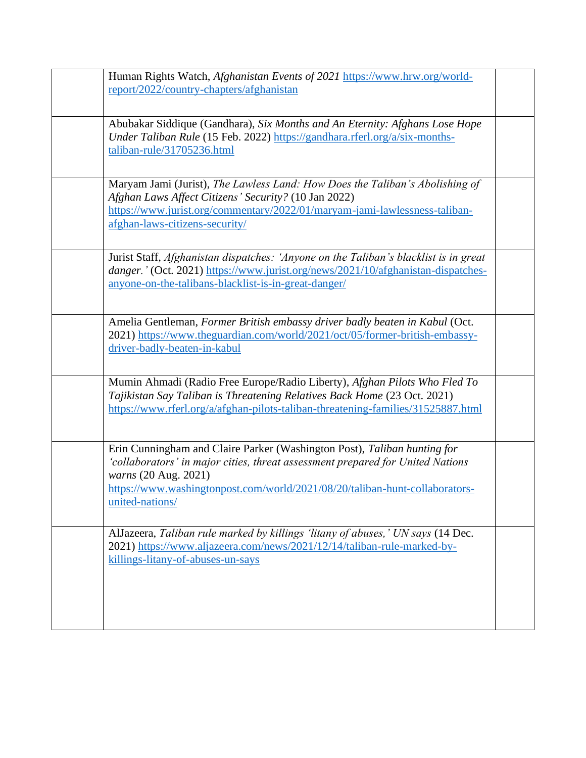| Human Rights Watch, Afghanistan Events of 2021 https://www.hrw.org/world-<br>report/2022/country-chapters/afghanistan                                                                                                                                                                |  |
|--------------------------------------------------------------------------------------------------------------------------------------------------------------------------------------------------------------------------------------------------------------------------------------|--|
| Abubakar Siddique (Gandhara), Six Months and An Eternity: Afghans Lose Hope<br>Under Taliban Rule (15 Feb. 2022) https://gandhara.rferl.org/a/six-months-<br>taliban-rule/31705236.html                                                                                              |  |
| Maryam Jami (Jurist), The Lawless Land: How Does the Taliban's Abolishing of<br>Afghan Laws Affect Citizens' Security? (10 Jan 2022)<br>https://www.jurist.org/commentary/2022/01/maryam-jami-lawlessness-taliban-<br>afghan-laws-citizens-security/                                 |  |
| Jurist Staff, Afghanistan dispatches: 'Anyone on the Taliban's blacklist is in great<br>danger.' (Oct. 2021) https://www.jurist.org/news/2021/10/afghanistan-dispatches-<br>anyone-on-the-talibans-blacklist-is-in-great-danger/                                                     |  |
| Amelia Gentleman, Former British embassy driver badly beaten in Kabul (Oct.<br>2021) https://www.theguardian.com/world/2021/oct/05/former-british-embassy-<br>driver-badly-beaten-in-kabul                                                                                           |  |
| Mumin Ahmadi (Radio Free Europe/Radio Liberty), Afghan Pilots Who Fled To<br>Tajikistan Say Taliban is Threatening Relatives Back Home (23 Oct. 2021)<br>https://www.rferl.org/a/afghan-pilots-taliban-threatening-families/31525887.html                                            |  |
| Erin Cunningham and Claire Parker (Washington Post), Taliban hunting for<br>'collaborators' in major cities, threat assessment prepared for United Nations<br>warns (20 Aug. 2021)<br>https://www.washingtonpost.com/world/2021/08/20/taliban-hunt-collaborators-<br>united-nations/ |  |
| AlJazeera, Taliban rule marked by killings 'litany of abuses,' UN says (14 Dec.<br>2021) https://www.aljazeera.com/news/2021/12/14/taliban-rule-marked-by-<br>killings-litany-of-abuses-un-says                                                                                      |  |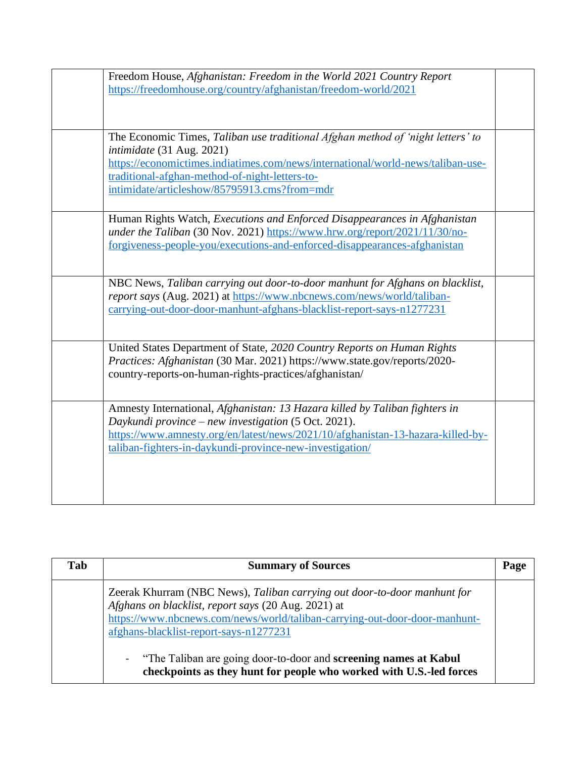| Freedom House, Afghanistan: Freedom in the World 2021 Country Report<br>https://freedomhouse.org/country/afghanistan/freedom-world/2021                 |  |
|---------------------------------------------------------------------------------------------------------------------------------------------------------|--|
| The Economic Times, Taliban use traditional Afghan method of 'night letters' to                                                                         |  |
| intimidate (31 Aug. 2021)                                                                                                                               |  |
| https://economictimes.indiatimes.com/news/international/world-news/taliban-use-                                                                         |  |
| traditional-afghan-method-of-night-letters-to-                                                                                                          |  |
| intimidate/articleshow/85795913.cms?from=mdr                                                                                                            |  |
| Human Rights Watch, Executions and Enforced Disappearances in Afghanistan                                                                               |  |
| under the Taliban (30 Nov. 2021) https://www.hrw.org/report/2021/11/30/no-<br>forgiveness-people-you/executions-and-enforced-disappearances-afghanistan |  |
|                                                                                                                                                         |  |
| NBC News, Taliban carrying out door-to-door manhunt for Afghans on blacklist,                                                                           |  |
| report says (Aug. 2021) at https://www.nbcnews.com/news/world/taliban-<br>carrying-out-door-door-manhunt-afghans-blacklist-report-says-n1277231         |  |
|                                                                                                                                                         |  |
| United States Department of State, 2020 Country Reports on Human Rights                                                                                 |  |
| Practices: Afghanistan (30 Mar. 2021) https://www.state.gov/reports/2020-                                                                               |  |
| country-reports-on-human-rights-practices/afghanistan/                                                                                                  |  |
| Amnesty International, Afghanistan: 13 Hazara killed by Taliban fighters in                                                                             |  |
| Daykundi province – new investigation (5 Oct. 2021).                                                                                                    |  |
| https://www.amnesty.org/en/latest/news/2021/10/afghanistan-13-hazara-killed-by-<br>taliban-fighters-in-daykundi-province-new-investigation/             |  |
|                                                                                                                                                         |  |
|                                                                                                                                                         |  |
|                                                                                                                                                         |  |
|                                                                                                                                                         |  |

| Tab | <b>Summary of Sources</b>                                                                                                                                                                                                                               | Page |
|-----|---------------------------------------------------------------------------------------------------------------------------------------------------------------------------------------------------------------------------------------------------------|------|
|     | Zeerak Khurram (NBC News), Taliban carrying out door-to-door manhunt for<br>Afghans on blacklist, report says (20 Aug. 2021) at<br>https://www.nbcnews.com/news/world/taliban-carrying-out-door-door-manhunt-<br>afghans-blacklist-report-says-n1277231 |      |
|     | - "The Taliban are going door-to-door and screening names at Kabul<br>checkpoints as they hunt for people who worked with U.S.-led forces                                                                                                               |      |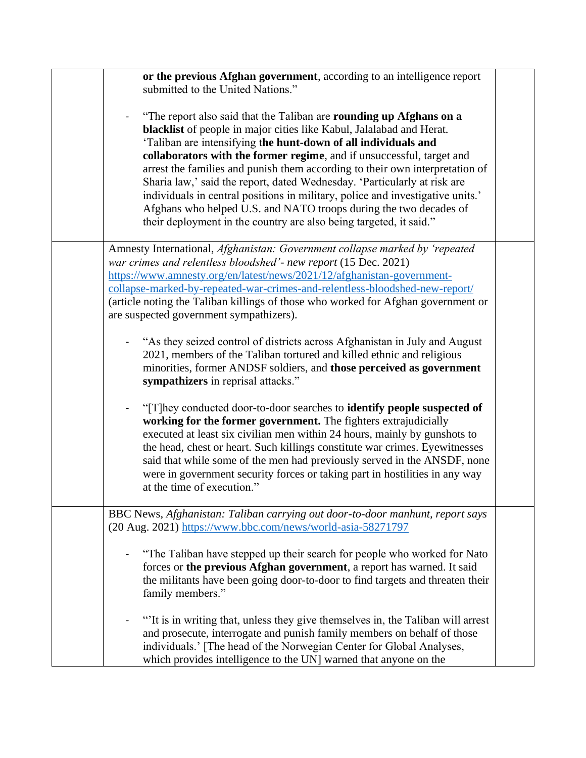| or the previous Afghan government, according to an intelligence report<br>submitted to the United Nations."                                                                                                                                                                                                                                                                                                                                                                                                                                                                                                                                                                     |  |
|---------------------------------------------------------------------------------------------------------------------------------------------------------------------------------------------------------------------------------------------------------------------------------------------------------------------------------------------------------------------------------------------------------------------------------------------------------------------------------------------------------------------------------------------------------------------------------------------------------------------------------------------------------------------------------|--|
| "The report also said that the Taliban are rounding up Afghans on a<br>blacklist of people in major cities like Kabul, Jalalabad and Herat.<br>'Taliban are intensifying the hunt-down of all individuals and<br>collaborators with the former regime, and if unsuccessful, target and<br>arrest the families and punish them according to their own interpretation of<br>Sharia law,' said the report, dated Wednesday. 'Particularly at risk are<br>individuals in central positions in military, police and investigative units.'<br>Afghans who helped U.S. and NATO troops during the two decades of<br>their deployment in the country are also being targeted, it said." |  |
| Amnesty International, Afghanistan: Government collapse marked by 'repeated<br>war crimes and relentless bloodshed' - new report (15 Dec. 2021)<br>https://www.amnesty.org/en/latest/news/2021/12/afghanistan-government-<br>collapse-marked-by-repeated-war-crimes-and-relentless-bloodshed-new-report/<br>(article noting the Taliban killings of those who worked for Afghan government or<br>are suspected government sympathizers).                                                                                                                                                                                                                                        |  |
| "As they seized control of districts across Afghanistan in July and August<br>2021, members of the Taliban tortured and killed ethnic and religious<br>minorities, former ANDSF soldiers, and those perceived as government<br>sympathizers in reprisal attacks."                                                                                                                                                                                                                                                                                                                                                                                                               |  |
| "[T]hey conducted door-to-door searches to <b>identify people suspected of</b><br>$\blacksquare$<br>working for the former government. The fighters extrajudicially<br>executed at least six civilian men within 24 hours, mainly by gunshots to<br>the head, chest or heart. Such killings constitute war crimes. Eyewitnesses<br>said that while some of the men had previously served in the ANSDF, none<br>were in government security forces or taking part in hostilities in any way<br>at the time of execution."                                                                                                                                                        |  |
| BBC News, Afghanistan: Taliban carrying out door-to-door manhunt, report says<br>(20 Aug. 2021) https://www.bbc.com/news/world-asia-58271797                                                                                                                                                                                                                                                                                                                                                                                                                                                                                                                                    |  |
| "The Taliban have stepped up their search for people who worked for Nato<br>forces or the previous Afghan government, a report has warned. It said<br>the militants have been going door-to-door to find targets and threaten their<br>family members."                                                                                                                                                                                                                                                                                                                                                                                                                         |  |
| "It is in writing that, unless they give themselves in, the Taliban will arrest<br>and prosecute, interrogate and punish family members on behalf of those<br>individuals.' [The head of the Norwegian Center for Global Analyses,<br>which provides intelligence to the UN] warned that anyone on the                                                                                                                                                                                                                                                                                                                                                                          |  |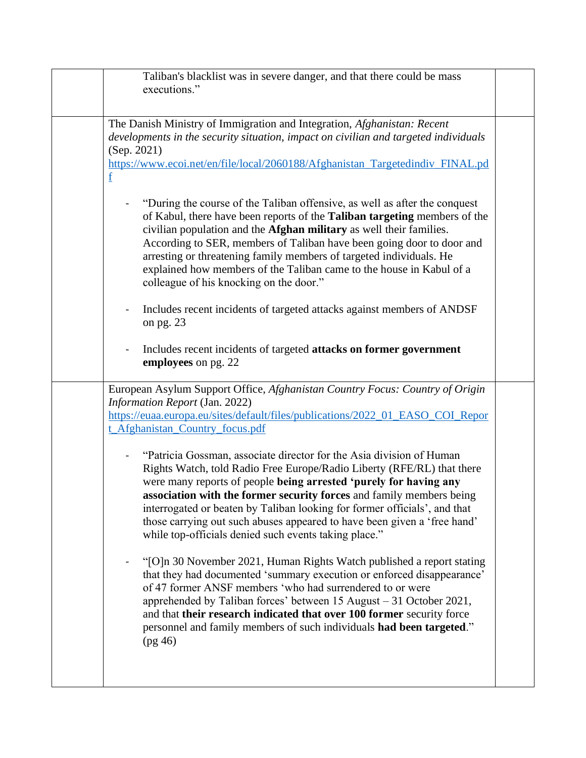| Taliban's blacklist was in severe danger, and that there could be mass<br>executions."                                                                                                                                                                                                                                                                                                                                                                                                                        |  |
|---------------------------------------------------------------------------------------------------------------------------------------------------------------------------------------------------------------------------------------------------------------------------------------------------------------------------------------------------------------------------------------------------------------------------------------------------------------------------------------------------------------|--|
| The Danish Ministry of Immigration and Integration, Afghanistan: Recent<br>developments in the security situation, impact on civilian and targeted individuals<br>(Sep. 2021)<br>https://www.ecoi.net/en/file/local/2060188/Afghanistan_Targetedindiv_FINAL.pd<br>f                                                                                                                                                                                                                                           |  |
| "During the course of the Taliban offensive, as well as after the conquest<br>of Kabul, there have been reports of the <b>Taliban targeting</b> members of the<br>civilian population and the Afghan military as well their families.<br>According to SER, members of Taliban have been going door to door and<br>arresting or threatening family members of targeted individuals. He<br>explained how members of the Taliban came to the house in Kabul of a<br>colleague of his knocking on the door."      |  |
| Includes recent incidents of targeted attacks against members of ANDSF<br>$\blacksquare$<br>on pg. $23$                                                                                                                                                                                                                                                                                                                                                                                                       |  |
| Includes recent incidents of targeted attacks on former government<br>$\blacksquare$<br>employees on pg. 22                                                                                                                                                                                                                                                                                                                                                                                                   |  |
| European Asylum Support Office, Afghanistan Country Focus: Country of Origin<br>Information Report (Jan. 2022)<br>https://euaa.europa.eu/sites/default/files/publications/2022_01_EASO_COI_Repor<br>t_Afghanistan_Country_focus.pdf                                                                                                                                                                                                                                                                           |  |
| "Patricia Gossman, associate director for the Asia division of Human<br>Rights Watch, told Radio Free Europe/Radio Liberty (RFE/RL) that there<br>were many reports of people being arrested 'purely for having any<br>association with the former security forces and family members being<br>interrogated or beaten by Taliban looking for former officials', and that<br>those carrying out such abuses appeared to have been given a 'free hand'<br>while top-officials denied such events taking place." |  |
| "[O]n 30 November 2021, Human Rights Watch published a report stating<br>that they had documented 'summary execution or enforced disappearance'<br>of 47 former ANSF members 'who had surrendered to or were<br>apprehended by Taliban forces' between 15 August - 31 October 2021,<br>and that their research indicated that over 100 former security force<br>personnel and family members of such individuals had been targeted."<br>(pg 46)                                                               |  |
|                                                                                                                                                                                                                                                                                                                                                                                                                                                                                                               |  |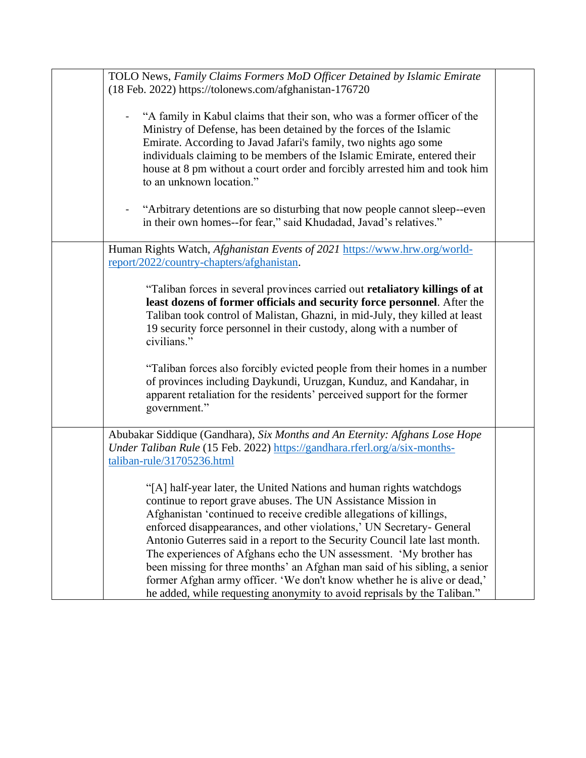| TOLO News, Family Claims Formers MoD Officer Detained by Islamic Emirate<br>(18 Feb. 2022) https://tolonews.com/afghanistan-176720                                                                                                                                                                                                                                                                                                                                                                                                                                                                                                                                             |  |
|--------------------------------------------------------------------------------------------------------------------------------------------------------------------------------------------------------------------------------------------------------------------------------------------------------------------------------------------------------------------------------------------------------------------------------------------------------------------------------------------------------------------------------------------------------------------------------------------------------------------------------------------------------------------------------|--|
| "A family in Kabul claims that their son, who was a former officer of the<br>Ministry of Defense, has been detained by the forces of the Islamic<br>Emirate. According to Javad Jafari's family, two nights ago some<br>individuals claiming to be members of the Islamic Emirate, entered their<br>house at 8 pm without a court order and forcibly arrested him and took him<br>to an unknown location."                                                                                                                                                                                                                                                                     |  |
| "Arbitrary detentions are so disturbing that now people cannot sleep--even<br>in their own homes--for fear," said Khudadad, Javad's relatives."                                                                                                                                                                                                                                                                                                                                                                                                                                                                                                                                |  |
| Human Rights Watch, <i>Afghanistan Events of 2021</i> https://www.hrw.org/world-<br>report/2022/country-chapters/afghanistan.                                                                                                                                                                                                                                                                                                                                                                                                                                                                                                                                                  |  |
| "Taliban forces in several provinces carried out retaliatory killings of at<br>least dozens of former officials and security force personnel. After the<br>Taliban took control of Malistan, Ghazni, in mid-July, they killed at least<br>19 security force personnel in their custody, along with a number of<br>civilians."                                                                                                                                                                                                                                                                                                                                                  |  |
| "Taliban forces also forcibly evicted people from their homes in a number<br>of provinces including Daykundi, Uruzgan, Kunduz, and Kandahar, in<br>apparent retaliation for the residents' perceived support for the former<br>government."                                                                                                                                                                                                                                                                                                                                                                                                                                    |  |
| Abubakar Siddique (Gandhara), Six Months and An Eternity: Afghans Lose Hope<br>Under Taliban Rule (15 Feb. 2022) https://gandhara.rferl.org/a/six-months-<br>taliban-rule/31705236.html                                                                                                                                                                                                                                                                                                                                                                                                                                                                                        |  |
| "[A] half-year later, the United Nations and human rights watchdogs<br>continue to report grave abuses. The UN Assistance Mission in<br>Afghanistan 'continued to receive credible allegations of killings,<br>enforced disappearances, and other violations,' UN Secretary- General<br>Antonio Guterres said in a report to the Security Council late last month.<br>The experiences of Afghans echo the UN assessment. 'My brother has<br>been missing for three months' an Afghan man said of his sibling, a senior<br>former Afghan army officer. 'We don't know whether he is alive or dead,'<br>he added, while requesting anonymity to avoid reprisals by the Taliban." |  |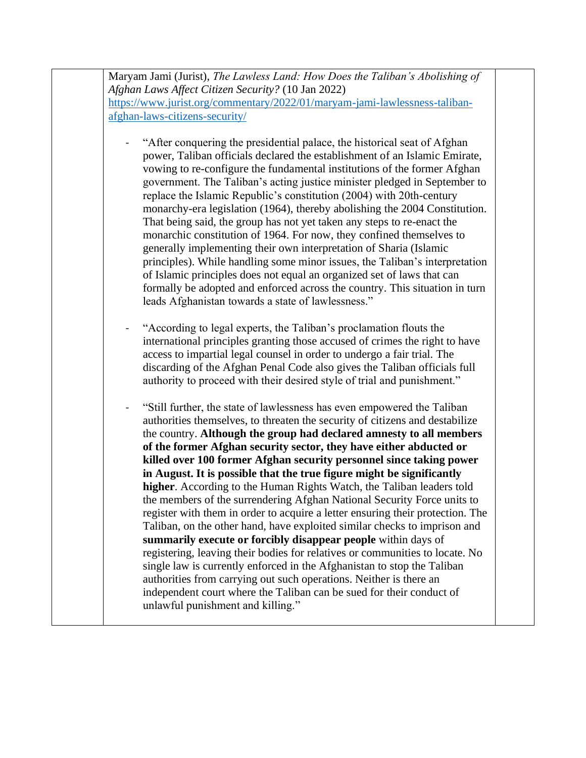| https://www.jurist.org/commentary/2022/01/maryam-jami-lawlessness-taliban-                                                                                                                                                                                                                                                                                                                                                                                                                                                                                                                                                                                                                                                                                                                                                                                                                                                            |
|---------------------------------------------------------------------------------------------------------------------------------------------------------------------------------------------------------------------------------------------------------------------------------------------------------------------------------------------------------------------------------------------------------------------------------------------------------------------------------------------------------------------------------------------------------------------------------------------------------------------------------------------------------------------------------------------------------------------------------------------------------------------------------------------------------------------------------------------------------------------------------------------------------------------------------------|
| afghan-laws-citizens-security/                                                                                                                                                                                                                                                                                                                                                                                                                                                                                                                                                                                                                                                                                                                                                                                                                                                                                                        |
| "After conquering the presidential palace, the historical seat of Afghan<br>power, Taliban officials declared the establishment of an Islamic Emirate,<br>vowing to re-configure the fundamental institutions of the former Afghan<br>government. The Taliban's acting justice minister pledged in September to<br>replace the Islamic Republic's constitution (2004) with 20th-century<br>monarchy-era legislation (1964), thereby abolishing the 2004 Constitution.<br>That being said, the group has not yet taken any steps to re-enact the<br>monarchic constitution of 1964. For now, they confined themselves to<br>generally implementing their own interpretation of Sharia (Islamic<br>principles). While handling some minor issues, the Taliban's interpretation<br>of Islamic principles does not equal an organized set of laws that can<br>formally be adopted and enforced across the country. This situation in turn |
| leads Afghanistan towards a state of lawlessness."                                                                                                                                                                                                                                                                                                                                                                                                                                                                                                                                                                                                                                                                                                                                                                                                                                                                                    |
| "According to legal experts, the Taliban's proclamation flouts the<br>international principles granting those accused of crimes the right to have<br>access to impartial legal counsel in order to undergo a fair trial. The<br>discarding of the Afghan Penal Code also gives the Taliban officials full<br>authority to proceed with their desired style of trial and punishment."                                                                                                                                                                                                                                                                                                                                                                                                                                                                                                                                                  |
| "Still further, the state of lawlessness has even empowered the Taliban<br>authorities themselves, to threaten the security of citizens and destabilize<br>the country. Although the group had declared amnesty to all members<br>of the former Afghan security sector, they have either abducted or                                                                                                                                                                                                                                                                                                                                                                                                                                                                                                                                                                                                                                  |
| killed over 100 former Afghan security personnel since taking power                                                                                                                                                                                                                                                                                                                                                                                                                                                                                                                                                                                                                                                                                                                                                                                                                                                                   |
| in August. It is possible that the true figure might be significantly                                                                                                                                                                                                                                                                                                                                                                                                                                                                                                                                                                                                                                                                                                                                                                                                                                                                 |
| higher. According to the Human Rights Watch, the Taliban leaders told<br>the members of the surrendering Afghan National Security Force units to<br>register with them in order to acquire a letter ensuring their protection. The                                                                                                                                                                                                                                                                                                                                                                                                                                                                                                                                                                                                                                                                                                    |
| Taliban, on the other hand, have exploited similar checks to imprison and<br>summarily execute or forcibly disappear people within days of                                                                                                                                                                                                                                                                                                                                                                                                                                                                                                                                                                                                                                                                                                                                                                                            |
| registering, leaving their bodies for relatives or communities to locate. No<br>single law is currently enforced in the Afghanistan to stop the Taliban<br>authorities from carrying out such operations. Neither is there an<br>independent court where the Taliban can be sued for their conduct of                                                                                                                                                                                                                                                                                                                                                                                                                                                                                                                                                                                                                                 |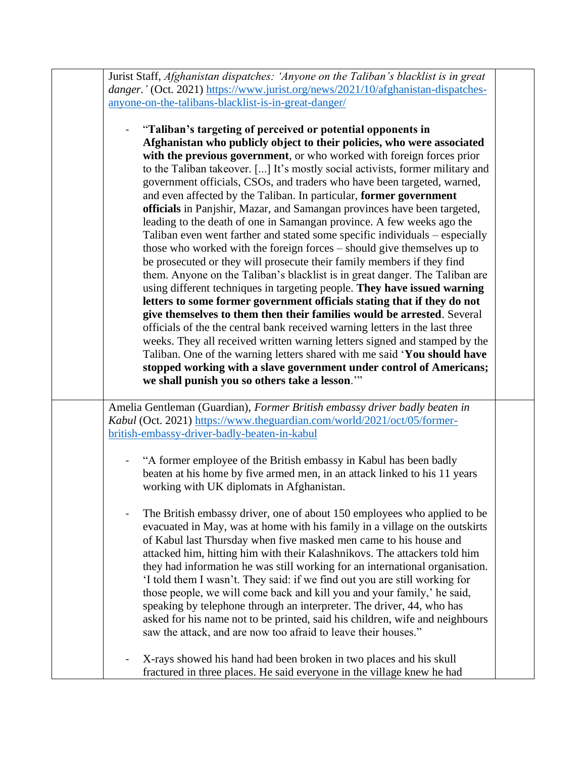| Jurist Staff, Afghanistan dispatches: 'Anyone on the Taliban's blacklist is in great                                                                                                                                                                                                                                                                                                                                                                                                                                                                                                                                                                                                                                                                                                                                                                                                                                                                                                                                                                                                                                                                                                                                                                                                                                                                                                                                                                                                                                         |  |
|------------------------------------------------------------------------------------------------------------------------------------------------------------------------------------------------------------------------------------------------------------------------------------------------------------------------------------------------------------------------------------------------------------------------------------------------------------------------------------------------------------------------------------------------------------------------------------------------------------------------------------------------------------------------------------------------------------------------------------------------------------------------------------------------------------------------------------------------------------------------------------------------------------------------------------------------------------------------------------------------------------------------------------------------------------------------------------------------------------------------------------------------------------------------------------------------------------------------------------------------------------------------------------------------------------------------------------------------------------------------------------------------------------------------------------------------------------------------------------------------------------------------------|--|
| danger.' (Oct. 2021) https://www.jurist.org/news/2021/10/afghanistan-dispatches-<br>anyone-on-the-talibans-blacklist-is-in-great-danger/                                                                                                                                                                                                                                                                                                                                                                                                                                                                                                                                                                                                                                                                                                                                                                                                                                                                                                                                                                                                                                                                                                                                                                                                                                                                                                                                                                                     |  |
|                                                                                                                                                                                                                                                                                                                                                                                                                                                                                                                                                                                                                                                                                                                                                                                                                                                                                                                                                                                                                                                                                                                                                                                                                                                                                                                                                                                                                                                                                                                              |  |
| "Taliban's targeting of perceived or potential opponents in<br>Afghanistan who publicly object to their policies, who were associated<br>with the previous government, or who worked with foreign forces prior<br>to the Taliban takeover. [] It's mostly social activists, former military and<br>government officials, CSOs, and traders who have been targeted, warned,<br>and even affected by the Taliban. In particular, former government<br>officials in Panjshir, Mazar, and Samangan provinces have been targeted,<br>leading to the death of one in Samangan province. A few weeks ago the<br>Taliban even went farther and stated some specific individuals - especially<br>those who worked with the foreign forces – should give themselves up to<br>be prosecuted or they will prosecute their family members if they find<br>them. Anyone on the Taliban's blacklist is in great danger. The Taliban are<br>using different techniques in targeting people. They have issued warning<br>letters to some former government officials stating that if they do not<br>give themselves to them then their families would be arrested. Several<br>officials of the the central bank received warning letters in the last three<br>weeks. They all received written warning letters signed and stamped by the<br>Taliban. One of the warning letters shared with me said 'You should have<br>stopped working with a slave government under control of Americans;<br>we shall punish you so others take a lesson."" |  |
| Amelia Gentleman (Guardian), Former British embassy driver badly beaten in                                                                                                                                                                                                                                                                                                                                                                                                                                                                                                                                                                                                                                                                                                                                                                                                                                                                                                                                                                                                                                                                                                                                                                                                                                                                                                                                                                                                                                                   |  |
| Kabul (Oct. 2021) https://www.theguardian.com/world/2021/oct/05/former-                                                                                                                                                                                                                                                                                                                                                                                                                                                                                                                                                                                                                                                                                                                                                                                                                                                                                                                                                                                                                                                                                                                                                                                                                                                                                                                                                                                                                                                      |  |
| british-embassy-driver-badly-beaten-in-kabul                                                                                                                                                                                                                                                                                                                                                                                                                                                                                                                                                                                                                                                                                                                                                                                                                                                                                                                                                                                                                                                                                                                                                                                                                                                                                                                                                                                                                                                                                 |  |
| "A former employee of the British embassy in Kabul has been badly<br>beaten at his home by five armed men, in an attack linked to his 11 years<br>working with UK diplomats in Afghanistan.                                                                                                                                                                                                                                                                                                                                                                                                                                                                                                                                                                                                                                                                                                                                                                                                                                                                                                                                                                                                                                                                                                                                                                                                                                                                                                                                  |  |
| The British embassy driver, one of about 150 employees who applied to be<br>evacuated in May, was at home with his family in a village on the outskirts<br>of Kabul last Thursday when five masked men came to his house and<br>attacked him, hitting him with their Kalashnikovs. The attackers told him<br>they had information he was still working for an international organisation.<br>'I told them I wasn't. They said: if we find out you are still working for<br>those people, we will come back and kill you and your family,' he said,<br>speaking by telephone through an interpreter. The driver, 44, who has<br>asked for his name not to be printed, said his children, wife and neighbours<br>saw the attack, and are now too afraid to leave their houses."                                                                                                                                                                                                                                                                                                                                                                                                                                                                                                                                                                                                                                                                                                                                                |  |
| X-rays showed his hand had been broken in two places and his skull<br>fractured in three places. He said everyone in the village knew he had                                                                                                                                                                                                                                                                                                                                                                                                                                                                                                                                                                                                                                                                                                                                                                                                                                                                                                                                                                                                                                                                                                                                                                                                                                                                                                                                                                                 |  |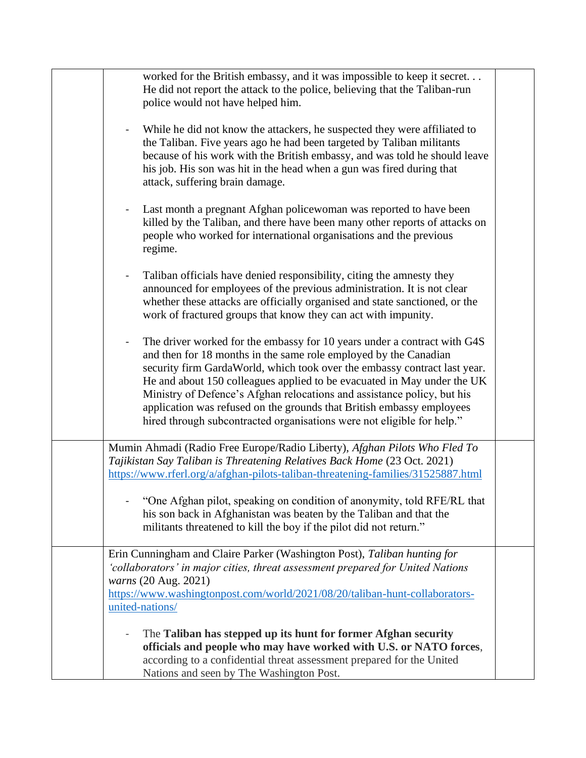| worked for the British embassy, and it was impossible to keep it secret<br>He did not report the attack to the police, believing that the Taliban-run<br>police would not have helped him.                                                                                                                                                                                                                                                                                                                                                           |  |
|------------------------------------------------------------------------------------------------------------------------------------------------------------------------------------------------------------------------------------------------------------------------------------------------------------------------------------------------------------------------------------------------------------------------------------------------------------------------------------------------------------------------------------------------------|--|
| While he did not know the attackers, he suspected they were affiliated to<br>$\overline{\phantom{a}}$<br>the Taliban. Five years ago he had been targeted by Taliban militants<br>because of his work with the British embassy, and was told he should leave<br>his job. His son was hit in the head when a gun was fired during that<br>attack, suffering brain damage.                                                                                                                                                                             |  |
| Last month a pregnant Afghan policewoman was reported to have been<br>killed by the Taliban, and there have been many other reports of attacks on<br>people who worked for international organisations and the previous<br>regime.                                                                                                                                                                                                                                                                                                                   |  |
| Taliban officials have denied responsibility, citing the amnesty they<br>$\blacksquare$<br>announced for employees of the previous administration. It is not clear<br>whether these attacks are officially organised and state sanctioned, or the<br>work of fractured groups that know they can act with impunity.                                                                                                                                                                                                                                  |  |
| The driver worked for the embassy for 10 years under a contract with G4S<br>$\blacksquare$<br>and then for 18 months in the same role employed by the Canadian<br>security firm GardaWorld, which took over the embassy contract last year.<br>He and about 150 colleagues applied to be evacuated in May under the UK<br>Ministry of Defence's Afghan relocations and assistance policy, but his<br>application was refused on the grounds that British embassy employees<br>hired through subcontracted organisations were not eligible for help." |  |
| Mumin Ahmadi (Radio Free Europe/Radio Liberty), Afghan Pilots Who Fled To<br>Tajikistan Say Taliban is Threatening Relatives Back Home (23 Oct. 2021)<br>https://www.rferl.org/a/afghan-pilots-taliban-threatening-families/31525887.html                                                                                                                                                                                                                                                                                                            |  |
| "One Afghan pilot, speaking on condition of anonymity, told RFE/RL that<br>his son back in Afghanistan was beaten by the Taliban and that the<br>militants threatened to kill the boy if the pilot did not return."                                                                                                                                                                                                                                                                                                                                  |  |
| Erin Cunningham and Claire Parker (Washington Post), Taliban hunting for<br>'collaborators' in major cities, threat assessment prepared for United Nations<br>warns (20 Aug. 2021)<br>https://www.washingtonpost.com/world/2021/08/20/taliban-hunt-collaborators-<br>united-nations/                                                                                                                                                                                                                                                                 |  |
| The Taliban has stepped up its hunt for former Afghan security<br>officials and people who may have worked with U.S. or NATO forces,<br>according to a confidential threat assessment prepared for the United<br>Nations and seen by The Washington Post.                                                                                                                                                                                                                                                                                            |  |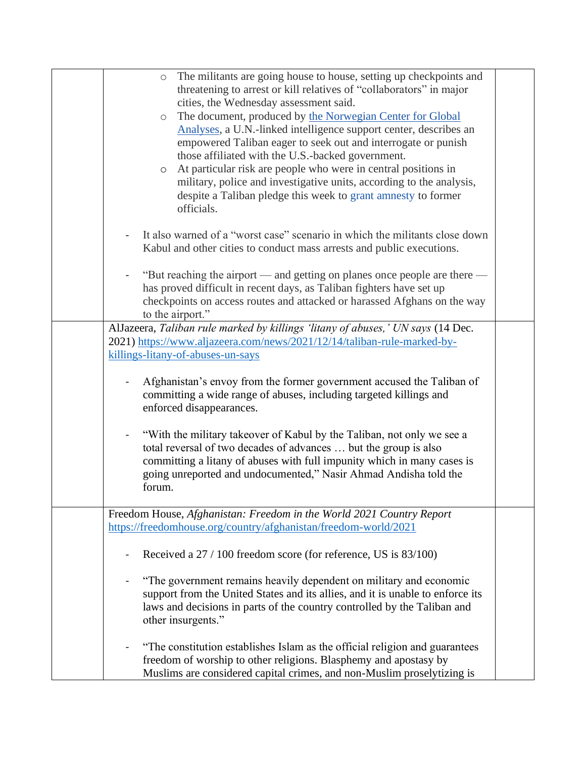| o The militants are going house to house, setting up checkpoints and                                                                                                |  |
|---------------------------------------------------------------------------------------------------------------------------------------------------------------------|--|
| threatening to arrest or kill relatives of "collaborators" in major                                                                                                 |  |
| cities, the Wednesday assessment said.                                                                                                                              |  |
| The document, produced by the Norwegian Center for Global<br>$\circ$                                                                                                |  |
| Analyses, a U.N.-linked intelligence support center, describes an                                                                                                   |  |
| empowered Taliban eager to seek out and interrogate or punish                                                                                                       |  |
| those affiliated with the U.S.-backed government.                                                                                                                   |  |
| At particular risk are people who were in central positions in<br>$\circ$                                                                                           |  |
| military, police and investigative units, according to the analysis,                                                                                                |  |
| despite a Taliban pledge this week to grant amnesty to former                                                                                                       |  |
| officials.                                                                                                                                                          |  |
|                                                                                                                                                                     |  |
| It also warned of a "worst case" scenario in which the militants close down                                                                                         |  |
| Kabul and other cities to conduct mass arrests and public executions.                                                                                               |  |
|                                                                                                                                                                     |  |
| "But reaching the airport — and getting on planes once people are there —<br>$\blacksquare$<br>has proved difficult in recent days, as Taliban fighters have set up |  |
| checkpoints on access routes and attacked or harassed Afghans on the way                                                                                            |  |
| to the airport."                                                                                                                                                    |  |
| AlJazeera, Taliban rule marked by killings 'litany of abuses,' UN says (14 Dec.                                                                                     |  |
| 2021) https://www.aljazeera.com/news/2021/12/14/taliban-rule-marked-by-                                                                                             |  |
| killings-litany-of-abuses-un-says                                                                                                                                   |  |
|                                                                                                                                                                     |  |
| Afghanistan's envoy from the former government accused the Taliban of                                                                                               |  |
| committing a wide range of abuses, including targeted killings and                                                                                                  |  |
| enforced disappearances.                                                                                                                                            |  |
|                                                                                                                                                                     |  |
| "With the military takeover of Kabul by the Taliban, not only we see a                                                                                              |  |
| total reversal of two decades of advances  but the group is also                                                                                                    |  |
| committing a litany of abuses with full impunity which in many cases is                                                                                             |  |
| going unreported and undocumented," Nasir Ahmad Andisha told the                                                                                                    |  |
| forum.                                                                                                                                                              |  |
|                                                                                                                                                                     |  |
| Freedom House, Afghanistan: Freedom in the World 2021 Country Report<br>https://freedomhouse.org/country/afghanistan/freedom-world/2021                             |  |
|                                                                                                                                                                     |  |
| Received a 27 / 100 freedom score (for reference, US is 83/100)                                                                                                     |  |
|                                                                                                                                                                     |  |
| "The government remains heavily dependent on military and economic                                                                                                  |  |
| support from the United States and its allies, and it is unable to enforce its                                                                                      |  |
| laws and decisions in parts of the country controlled by the Taliban and                                                                                            |  |
| other insurgents."                                                                                                                                                  |  |
|                                                                                                                                                                     |  |
| "The constitution establishes Islam as the official religion and guarantees                                                                                         |  |
| freedom of worship to other religions. Blasphemy and apostasy by                                                                                                    |  |
| Muslims are considered capital crimes, and non-Muslim proselytizing is                                                                                              |  |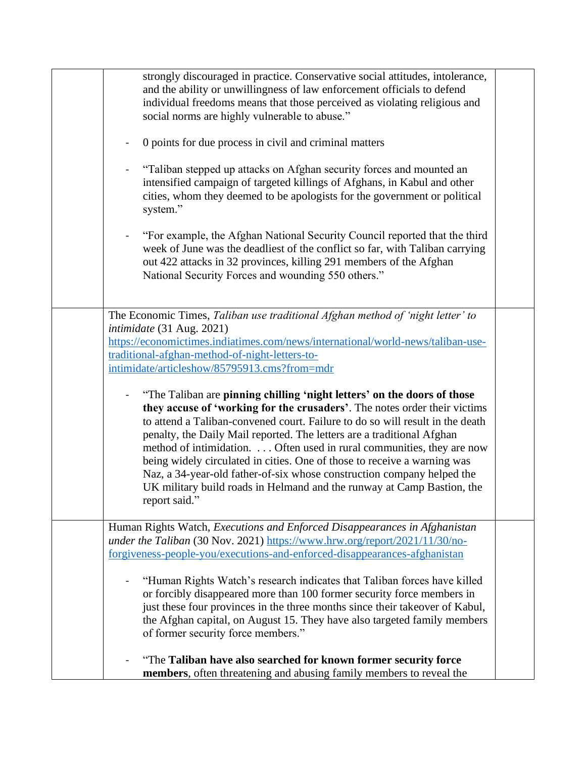| strongly discouraged in practice. Conservative social attitudes, intolerance,<br>and the ability or unwillingness of law enforcement officials to defend<br>individual freedoms means that those perceived as violating religious and<br>social norms are highly vulnerable to abuse."                                                                                                                                                                                                                                                                                                                                                    |  |
|-------------------------------------------------------------------------------------------------------------------------------------------------------------------------------------------------------------------------------------------------------------------------------------------------------------------------------------------------------------------------------------------------------------------------------------------------------------------------------------------------------------------------------------------------------------------------------------------------------------------------------------------|--|
| 0 points for due process in civil and criminal matters                                                                                                                                                                                                                                                                                                                                                                                                                                                                                                                                                                                    |  |
| "Taliban stepped up attacks on Afghan security forces and mounted an<br>intensified campaign of targeted killings of Afghans, in Kabul and other<br>cities, whom they deemed to be apologists for the government or political<br>system."                                                                                                                                                                                                                                                                                                                                                                                                 |  |
| "For example, the Afghan National Security Council reported that the third<br>$\qquad \qquad \blacksquare$<br>week of June was the deadliest of the conflict so far, with Taliban carrying<br>out 422 attacks in 32 provinces, killing 291 members of the Afghan<br>National Security Forces and wounding 550 others."                                                                                                                                                                                                                                                                                                                    |  |
| The Economic Times, Taliban use traditional Afghan method of 'night letter' to                                                                                                                                                                                                                                                                                                                                                                                                                                                                                                                                                            |  |
| intimidate (31 Aug. 2021)<br>https://economictimes.indiatimes.com/news/international/world-news/taliban-use-<br>traditional-afghan-method-of-night-letters-to-<br>intimidate/articleshow/85795913.cms?from=mdr                                                                                                                                                                                                                                                                                                                                                                                                                            |  |
| "The Taliban are pinning chilling 'night letters' on the doors of those<br>they accuse of 'working for the crusaders'. The notes order their victims<br>to attend a Taliban-convened court. Failure to do so will result in the death<br>penalty, the Daily Mail reported. The letters are a traditional Afghan<br>method of intimidation. Often used in rural communities, they are now<br>being widely circulated in cities. One of those to receive a warning was<br>Naz, a 34-year-old father-of-six whose construction company helped the<br>UK military build roads in Helmand and the runway at Camp Bastion, the<br>report said." |  |
| Human Rights Watch, Executions and Enforced Disappearances in Afghanistan<br>under the Taliban (30 Nov. 2021) https://www.hrw.org/report/2021/11/30/no-<br>forgiveness-people-you/executions-and-enforced-disappearances-afghanistan                                                                                                                                                                                                                                                                                                                                                                                                      |  |
| "Human Rights Watch's research indicates that Taliban forces have killed<br>or forcibly disappeared more than 100 former security force members in<br>just these four provinces in the three months since their takeover of Kabul,<br>the Afghan capital, on August 15. They have also targeted family members<br>of former security force members."                                                                                                                                                                                                                                                                                      |  |
| "The Taliban have also searched for known former security force<br>members, often threatening and abusing family members to reveal the                                                                                                                                                                                                                                                                                                                                                                                                                                                                                                    |  |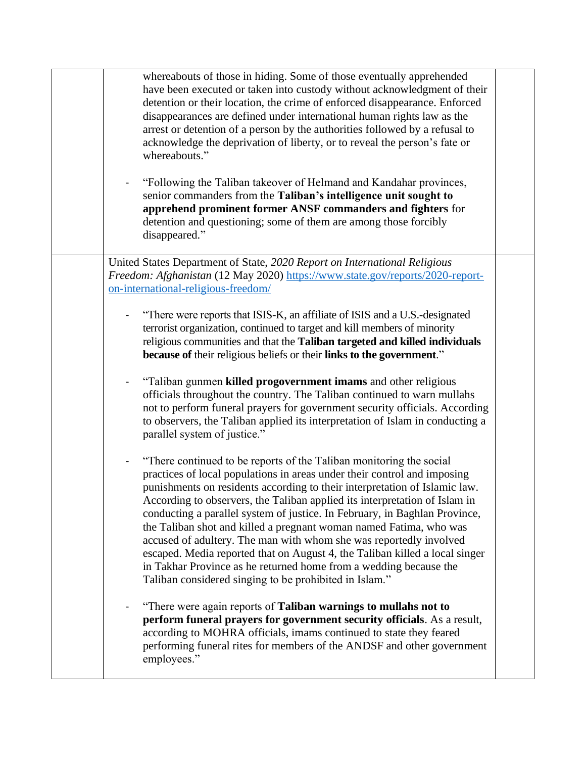| whereabouts of those in hiding. Some of those eventually apprehended<br>have been executed or taken into custody without acknowledgment of their<br>detention or their location, the crime of enforced disappearance. Enforced<br>disappearances are defined under international human rights law as the<br>arrest or detention of a person by the authorities followed by a refusal to<br>acknowledge the deprivation of liberty, or to reveal the person's fate or<br>whereabouts."                                                                                                                                                                                                                                                               |  |
|-----------------------------------------------------------------------------------------------------------------------------------------------------------------------------------------------------------------------------------------------------------------------------------------------------------------------------------------------------------------------------------------------------------------------------------------------------------------------------------------------------------------------------------------------------------------------------------------------------------------------------------------------------------------------------------------------------------------------------------------------------|--|
| "Following the Taliban takeover of Helmand and Kandahar provinces,<br>senior commanders from the Taliban's intelligence unit sought to<br>apprehend prominent former ANSF commanders and fighters for<br>detention and questioning; some of them are among those forcibly<br>disappeared."                                                                                                                                                                                                                                                                                                                                                                                                                                                          |  |
| United States Department of State, 2020 Report on International Religious<br>Freedom: Afghanistan (12 May 2020) https://www.state.gov/reports/2020-report-<br>on-international-religious-freedom/                                                                                                                                                                                                                                                                                                                                                                                                                                                                                                                                                   |  |
| "There were reports that ISIS-K, an affiliate of ISIS and a U.S.-designated<br>terrorist organization, continued to target and kill members of minority<br>religious communities and that the Taliban targeted and killed individuals<br>because of their religious beliefs or their links to the government."                                                                                                                                                                                                                                                                                                                                                                                                                                      |  |
| "Taliban gunmen killed progovernment imams and other religious<br>officials throughout the country. The Taliban continued to warn mullahs<br>not to perform funeral prayers for government security officials. According<br>to observers, the Taliban applied its interpretation of Islam in conducting a<br>parallel system of justice."                                                                                                                                                                                                                                                                                                                                                                                                           |  |
| "There continued to be reports of the Taliban monitoring the social<br>practices of local populations in areas under their control and imposing<br>punishments on residents according to their interpretation of Islamic law.<br>According to observers, the Taliban applied its interpretation of Islam in<br>conducting a parallel system of justice. In February, in Baghlan Province,<br>the Taliban shot and killed a pregnant woman named Fatima, who was<br>accused of adultery. The man with whom she was reportedly involved<br>escaped. Media reported that on August 4, the Taliban killed a local singer<br>in Takhar Province as he returned home from a wedding because the<br>Taliban considered singing to be prohibited in Islam." |  |
| "There were again reports of Taliban warnings to mullahs not to<br>perform funeral prayers for government security officials. As a result,<br>according to MOHRA officials, imams continued to state they feared<br>performing funeral rites for members of the ANDSF and other government<br>employees."                                                                                                                                                                                                                                                                                                                                                                                                                                           |  |